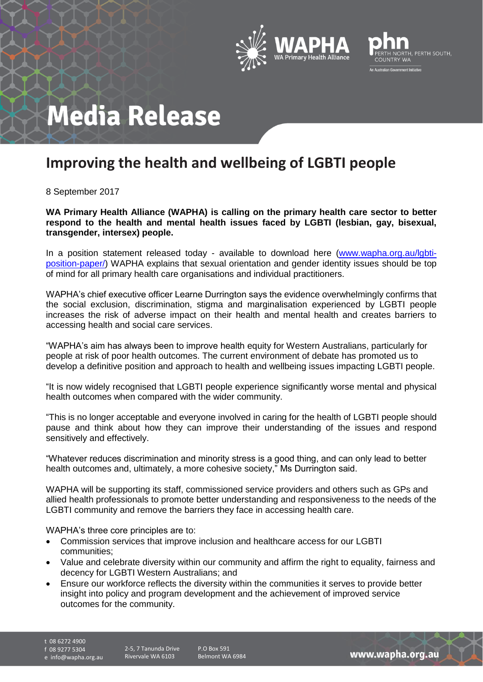



## **Media Release**

## **Improving the health and wellbeing of LGBTI people**

8 September 2017

**WA Primary Health Alliance (WAPHA) is calling on the primary health care sector to better respond to the health and mental health issues faced by LGBTI (lesbian, gay, bisexual, transgender, intersex) people.**

In a position statement released today - available to download here [\(www.wapha.org.au/lgbti](http://www.wapha.org.au/lgbti-position-paper/)[position-paper/\)](http://www.wapha.org.au/lgbti-position-paper/) WAPHA explains that sexual orientation and gender identity issues should be top of mind for all primary health care organisations and individual practitioners.

WAPHA's chief executive officer Learne Durrington says the evidence overwhelmingly confirms that the social exclusion, discrimination, stigma and marginalisation experienced by LGBTI people increases the risk of adverse impact on their health and mental health and creates barriers to accessing health and social care services.

"WAPHA's aim has always been to improve health equity for Western Australians, particularly for people at risk of poor health outcomes. The current environment of debate has promoted us to develop a definitive position and approach to health and wellbeing issues impacting LGBTI people.

"It is now widely recognised that LGBTI people experience significantly worse mental and physical health outcomes when compared with the wider community.

"This is no longer acceptable and everyone involved in caring for the health of LGBTI people should pause and think about how they can improve their understanding of the issues and respond sensitively and effectively.

"Whatever reduces discrimination and minority stress is a good thing, and can only lead to better health outcomes and, ultimately, a more cohesive society," Ms Durrington said.

WAPHA will be supporting its staff, commissioned service providers and others such as GPs and allied health professionals to promote better understanding and responsiveness to the needs of the LGBTI community and remove the barriers they face in accessing health care.

WAPHA's three core principles are to:

- Commission services that improve inclusion and healthcare access for our LGBTI communities;
- Value and celebrate diversity within our community and affirm the right to equality, fairness and decency for LGBTI Western Australians; and
- Ensure our workforce reflects the diversity within the communities it serves to provide better insight into policy and program development and the achievement of improved service outcomes for the community.

t 08 6272 4900

f 08 9277 5304

e info@wapha.org.au

P.O Box 591 Belmont WA 6984